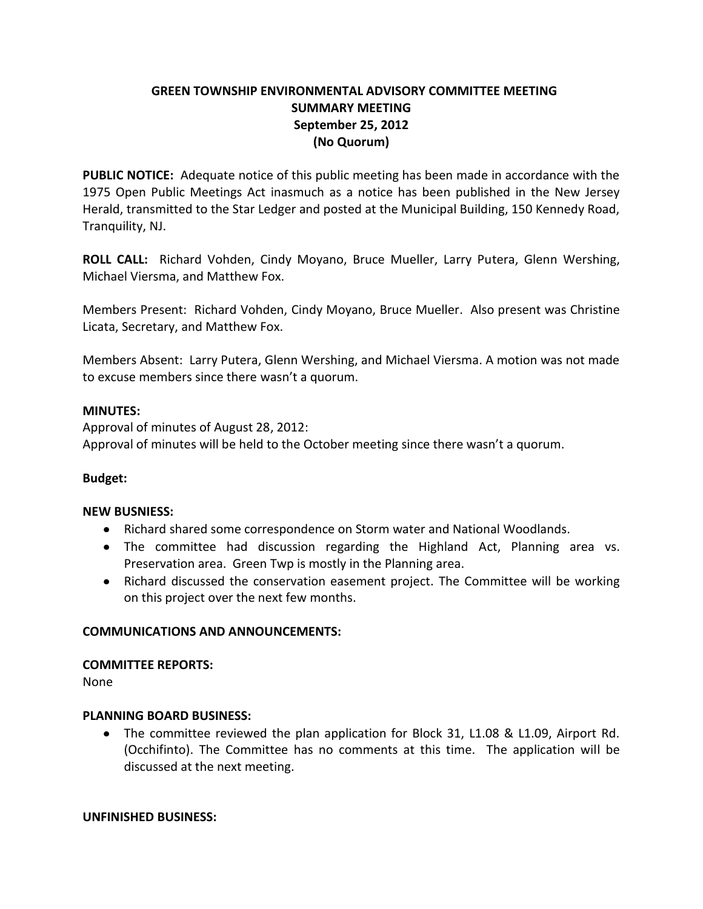# **GREEN TOWNSHIP ENVIRONMENTAL ADVISORY COMMITTEE MEETING SUMMARY MEETING September 25, 2012 (No Quorum)**

**PUBLIC NOTICE:** Adequate notice of this public meeting has been made in accordance with the 1975 Open Public Meetings Act inasmuch as a notice has been published in the New Jersey Herald, transmitted to the Star Ledger and posted at the Municipal Building, 150 Kennedy Road, Tranquility, NJ.

**ROLL CALL:** Richard Vohden, Cindy Moyano, Bruce Mueller, Larry Putera, Glenn Wershing, Michael Viersma, and Matthew Fox.

Members Present: Richard Vohden, Cindy Moyano, Bruce Mueller. Also present was Christine Licata, Secretary, and Matthew Fox.

Members Absent: Larry Putera, Glenn Wershing, and Michael Viersma. A motion was not made to excuse members since there wasn't a quorum.

### **MINUTES:**

Approval of minutes of August 28, 2012: Approval of minutes will be held to the October meeting since there wasn't a quorum.

### **Budget:**

### **NEW BUSNIESS:**

- Richard shared some correspondence on Storm water and National Woodlands.
- The committee had discussion regarding the Highland Act, Planning area vs. Preservation area. Green Twp is mostly in the Planning area.
- Richard discussed the conservation easement project. The Committee will be working on this project over the next few months.

### **COMMUNICATIONS AND ANNOUNCEMENTS:**

### **COMMITTEE REPORTS:**

None

### **PLANNING BOARD BUSINESS:**

The committee reviewed the plan application for Block 31, L1.08 & L1.09, Airport Rd. (Occhifinto). The Committee has no comments at this time. The application will be discussed at the next meeting.

### **UNFINISHED BUSINESS:**